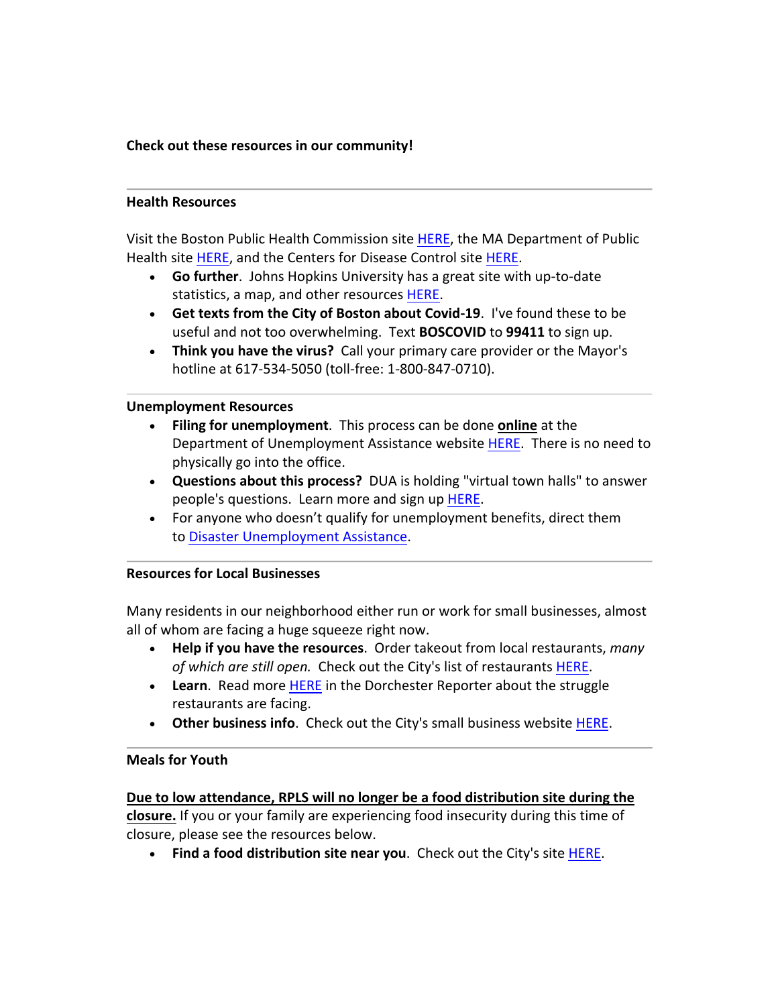# Check out these resources in our community!

#### **Health Resources**

Visit the Boston Public Health Commission site HERE, the MA Department of Public Health site HERE, and the Centers for Disease Control site HERE.

- Go further. Johns Hopkins University has a great site with up-to-date statistics, a map, and other resources HERE.
- Get texts from the City of Boston about Covid-19. I've found these to be useful and not too overwhelming. Text **BOSCOVID** to **99411** to sign up.
- Think you have the virus? Call your primary care provider or the Mayor's hotline at 617-534-5050 (toll-free: 1-800-847-0710).

#### **Unemployment Resources**

- Filing for unemployment. This process can be done online at the Department of Unemployment Assistance website HERE. There is no need to physically go into the office.
- Questions about this process? DUA is holding "virtual town halls" to answer people's questions. Learn more and sign up HERE.
- For anyone who doesn't qualify for unemployment benefits, direct them to Disaster Unemployment Assistance.

### **Resources for Local Businesses**

Many residents in our neighborhood either run or work for small businesses, almost all of whom are facing a huge squeeze right now.

- **Help if you have the resources**. Order takeout from local restaurants, *many* of which are still open. Check out the City's list of restaurants HERE.
- Learn. Read more HERE in the Dorchester Reporter about the struggle restaurants are facing.
- Other business info. Check out the City's small business website HERE.

### **Meals for Youth**

Due to low attendance, RPLS will no longer be a food distribution site during the closure. If you or your family are experiencing food insecurity during this time of closure, please see the resources below.

• Find a food distribution site near you. Check out the City's site HERE.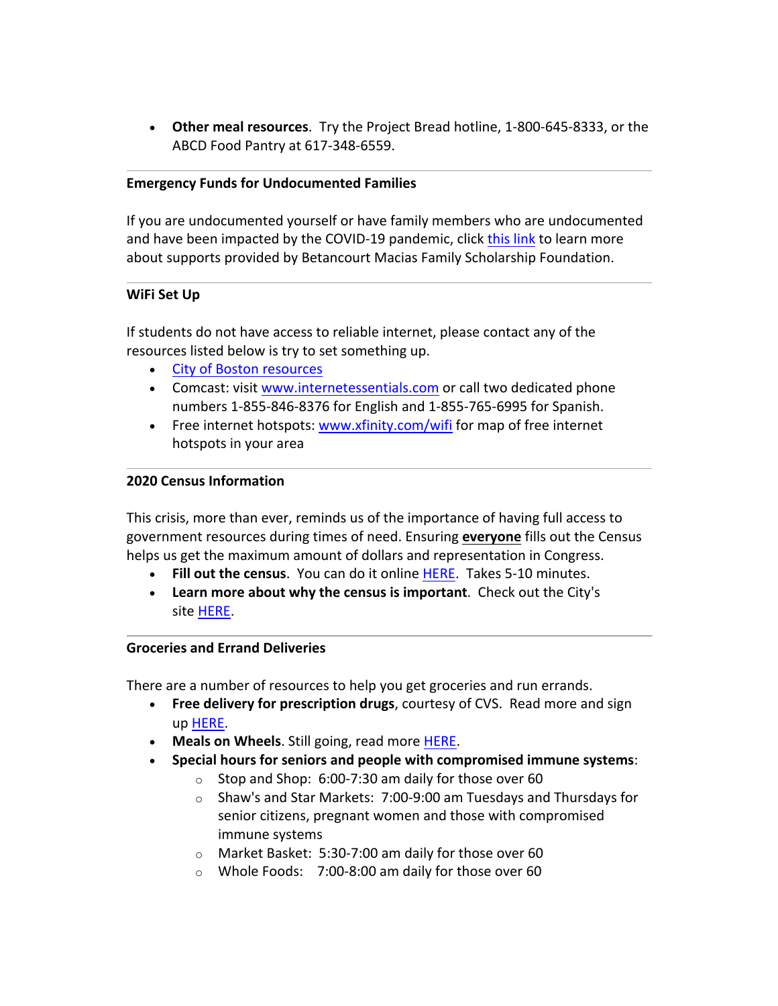• Other meal resources. Try the Project Bread hotline, 1-800-645-8333, or the ABCD Food Pantry at 617-348-6559.

### **Emergency Funds for Undocumented Families**

If you are undocumented yourself or have family members who are undocumented and have been impacted by the COVID-19 pandemic, click this link to learn more about supports provided by Betancourt Macias Family Scholarship Foundation.

#### **WiFi Set Up**

If students do not have access to reliable internet, please contact any of the resources listed below is try to set something up.

- City of Boston resources
- Comcast: visit www.internetessentials.com or call two dedicated phone numbers 1-855-846-8376 for English and 1-855-765-6995 for Spanish.
- Free internet hotspots: www.xfinity.com/wifi for map of free internet hotspots in your area

#### **2020 Census Information**

This crisis, more than ever, reminds us of the importance of having full access to government resources during times of need. Ensuring **everyone** fills out the Census helps us get the maximum amount of dollars and representation in Congress.

- Fill out the census. You can do it online HERE. Takes 5-10 minutes.
- Learn more about why the census is important. Check out the City's site HERE.

#### **Groceries and Errand Deliveries**

There are a number of resources to help you get groceries and run errands.

- Free delivery for prescription drugs, courtesy of CVS. Read more and sign up HERE.
- Meals on Wheels. Still going, read more HERE.
- **Special hours for seniors and people with compromised immune systems:** 
	- $\circ$  Stop and Shop: 6:00-7:30 am daily for those over 60
	- $\circ$  Shaw's and Star Markets: 7:00-9:00 am Tuesdays and Thursdays for senior citizens, pregnant women and those with compromised immune systems
	- $\circ$  Market Basket: 5:30-7:00 am daily for those over 60
	- $\circ$  Whole Foods: 7:00-8:00 am daily for those over 60